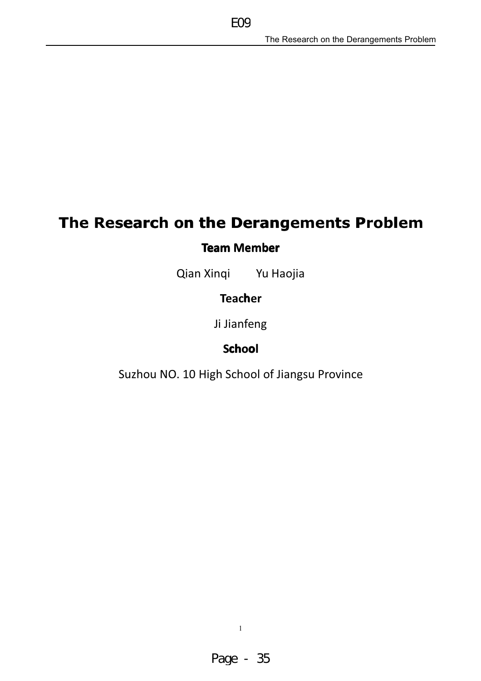# The Research on the Derangements Problem

EO<sub>9</sub>

# **Team Member**

Qian Xinqi Yu Haojia

# **Teacher**

Ji Jianfeng

## **School**

Suzhou NO. 10 High School of Jiangsu Province

 $\bar{1}$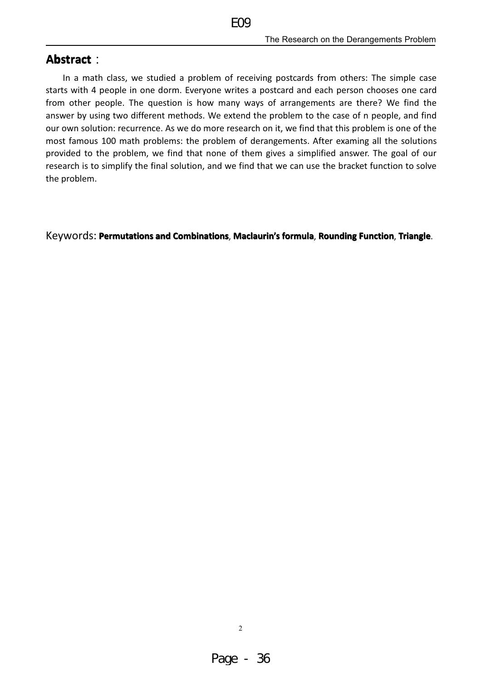### **Abstract:**

In a math class, we studied a problem of receiving postcards from others: The simple case starts with 4 people in one dorm. Everyone writes a postcard and each person chooses one card from other people. The question is how many ways of arrangements are there? We find the answer by using two different methods. We extend the problem to the case of n people, and find our own solution: recurrence. As we do more research on it, we find that this problem is one of the most famous 100 math problems: the problem of derangements. After examing all the solutions provided to the problem, we find that none of them gives a simplified answer. The goal of our research is to simplify the final solution, and we find that we can use the bracket function to solve the problem.

Keywords: Permutations and Combinations, Maclaurin's formula, Rounding Function, Triangle.

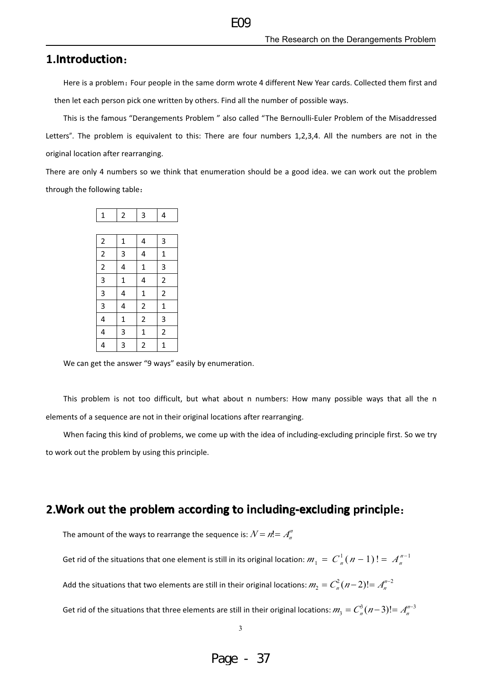#### 1.Introduction:

Here is a problem: Four people in the same dorm wrote 4 different New Year cards. Collected them first and then let each person pick one written by others. Find all the number of possible ways.

This is the famous "Derangements Problem " also called "The Bernoulli-Euler Problem of the Misaddressed Letters". The problem is equivalent to this: There are four numbers 1,2,3,4. All the numbers are not in the original location after rearranging.

There are only 4 numbers so we think that enumeration should be a good idea. we can work out the problem through the following table:

| $\mathbf 1$                 | $\overline{c}$          | 3                       | 4                       |
|-----------------------------|-------------------------|-------------------------|-------------------------|
|                             |                         |                         |                         |
| $\overline{a}$              | $\mathbf{1}$            | $\overline{a}$          | 3                       |
|                             | $\overline{\mathbf{3}}$ | $\overline{a}$          | $\mathbf{1}$            |
| $\frac{2}{2}$ $\frac{2}{3}$ | $\overline{\mathbf{r}}$ | $\mathbf{1}$            | $\overline{\mathbf{3}}$ |
|                             | $\mathbf{1}$            | $\overline{\mathbf{r}}$ | $\overline{2}$          |
| $\overline{3}$              | $\frac{1}{4}$           | $\overline{1}$          | $\overline{2}$          |
| $\overline{3}$              | $\overline{\mathbf{r}}$ | $\overline{\mathbf{c}}$ | $\mathbf{1}$            |
| $\overline{4}$              | $\overline{1}$          | $\overline{2}$          | $\overline{3}$          |
| $\frac{1}{4}$               | $\overline{3}$          | $\frac{1}{2}$           | $\overline{2}$          |
| $\overline{4}$              | $\overline{3}$          | $\overline{2}$          | $\overline{1}$          |

We can get the answer "9 ways" easily by enumeration.

This problem is not too difficult, but what about n numbers: How many possible ways that all the n elements of a sequence are not in their original locations after rearranging.

When facing this kind of problems, we come up with the idea of including-excluding principle first. So we try to work out the problem by using this principle.

#### 2. Work out the problem according to including-excluding principle:

The amount of the ways to rearrange the sequence is:  $N = n! = A_n^m$ 

Get rid of the situations that one element is still in its original location:  $m_1 = C_n^1(n-1)! = A_n^{n-1}$ 

Add the situations that two elements are still in their original locations:  $m_2 = C_n^2(n-2)! = A_n^{n-2}$ 

Get rid of the situations that three elements are still in their original locations:  $m_3 = C_n^3(n-3)! = A_n^{n-3}$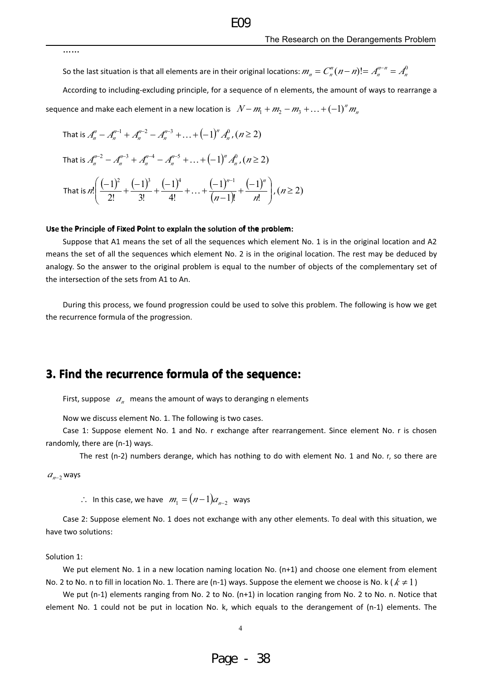......

So the last situation is that all elements are in their original locations:  $m_n = C_n(n-n)! = A_n^{n-n} = A_n^0$ 

 $FQ$ 

According to including-excluding principle, for a sequence of n elements, the amount of ways to rearrange a sequence and make each element in a new location is  $N-m_1+m_2-m_3+\ldots+(-1)^n m_n$ 

That is 
$$
A_n'' - A_n''^{-1} + A_n''^{-2} - A_n''^{-3} + ... + (-1)^n A_n^0
$$
,  $(n \ge 2)$   
\nThat is  $A_n''^{-2} - A_n''^{-3} + A_n''^{-4} - A_n''^{-5} + ... + (-1)^n A_n^0$ ,  $(n \ge 2)$   
\nThat is  $n! \left( \frac{(-1)^2}{2!} + \frac{(-1)^3}{3!} + \frac{(-1)^4}{4!} + ... + \frac{(-1)^{n-1}}{(n-1)!} + \frac{(-1)^n}{n!} \right)$ ,  $(n \ge 2)$ 

#### Use the Principle of Fixed Point to explain the solution of the problem:

Suppose that A1 means the set of all the sequences which element No. 1 is in the original location and A2 means the set of all the sequences which element No. 2 is in the original location. The rest may be deduced by analogy. So the answer to the original problem is equal to the number of objects of the complementary set of the intersection of the sets from A1 to An.

During this process, we found progression could be used to solve this problem. The following is how we get the recurrence formula of the progression.

### 3. Find the recurrence formula of the sequence:

First, suppose  $a_n$  means the amount of ways to deranging n elements

Now we discuss element No. 1. The following is two cases.

Case 1: Suppose element No. 1 and No. r exchange after rearrangement. Since element No. r is chosen randomly, there are (n-1) ways.

The rest (n-2) numbers derange, which has nothing to do with element No. 1 and No. r, so there are

 $a_{n-2}$  ways

 $\therefore$  In this case, we have  $m_1 = (n-1)a_{n-2}$  ways

Case 2: Suppose element No. 1 does not exchange with any other elements. To deal with this situation, we have two solutions:

#### Solution 1:

We put element No. 1 in a new location naming location No. (n+1) and choose one element from element No. 2 to No. n to fill in location No. 1. There are (n-1) ways. Suppose the element we choose is No. k ( $k \ne 1$ )

We put (n-1) elements ranging from No. 2 to No. (n+1) in location ranging from No. 2 to No. n. Notice that element No. 1 could not be put in location No. k, which equals to the derangement of (n-1) elements. The

 $\overline{4}$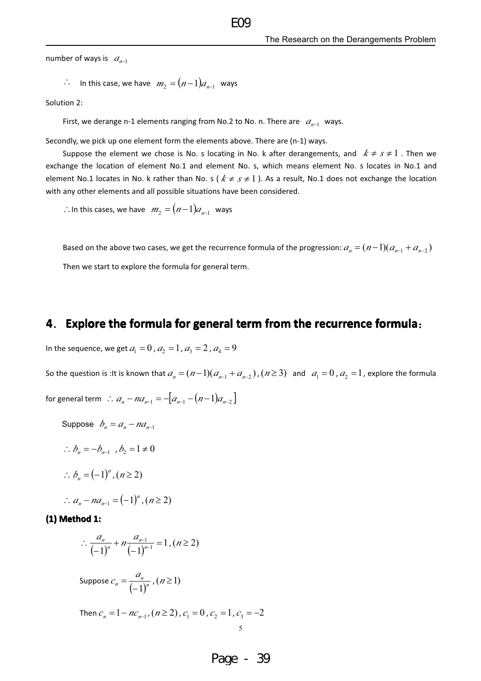number of ways is  $a_{n-1}$ 

$$
\therefore
$$
 In this case, we have  $m_2 = (n-1)a_{n-1}$  ways

Solution 2:

First, we derange n-1 elements ranging from No.2 to No. n. There are  $a_{n-1}$  ways.

Secondly, we pick up one element form the elements above. There are (n-1) ways.

Suppose the element we chose is No. s locating in No. k after derangements, and  $k \neq s \neq 1$ . Then we exchange the location of element No.1 and element No. s, which means element No. s locates in No.1 and element No.1 locates in No. k rather than No. s ( $k \neq s \neq 1$ ). As a result, No.1 does not exchange the location with any other elements and all possible situations have been considered.

 $FQQ$ 

 $\therefore$  In this cases, we have  $m_2 = (n-1)a_{n-1}$  ways

Based on the above two cases, we get the recurrence formula of the progression:  $a_n = (n-1)(a_{n-1} + a_{n-2})$ Then we start to explore the formula for general term.

#### 4. Explore the formula for general term from the recurrence formula:

In the sequence, we get  $a_1 = 0$ ,  $a_2 = 1$ ,  $a_3 = 2$ ,  $a_4 = 9$ 

So the question is : It is known that  $a_n = (n-1)(a_{n-1} + a_{n-2})$ ,  $(n \ge 3)$  and  $a_1 = 0$ ,  $a_2 = 1$ , explore the formula

for general term  $\therefore a_n - na_{n-1} = -[a_{n-1} - (n-1)a_{n-2}]$ 

- Suppose  $b_n = a_n na_{n-1}$
- $\therefore b_n = -b_{n-1}, b_2 = 1 \neq 0$
- $\therefore b = (-1)^n, (n \ge 2)$

: 
$$
a_n - na_{n-1} = (-1)^n
$$
,  $(n \ge 2)$ 

#### (1) Method 1:

$$
\therefore \frac{a_n}{(-1)^n} + n \frac{a_{n-1}}{(-1)^{n-1}} = 1, (n \ge 2)
$$

Suppose 
$$
c_n = \frac{a_n}{(-1)^n}
$$
,  $(n \ge 1)$ 

Then  $c_n = 1 - nc_{n-1}$ ,  $(n \ge 2)$ ,  $c_1 = 0$ ,  $c_2 = 1$ ,  $c_3 = -2$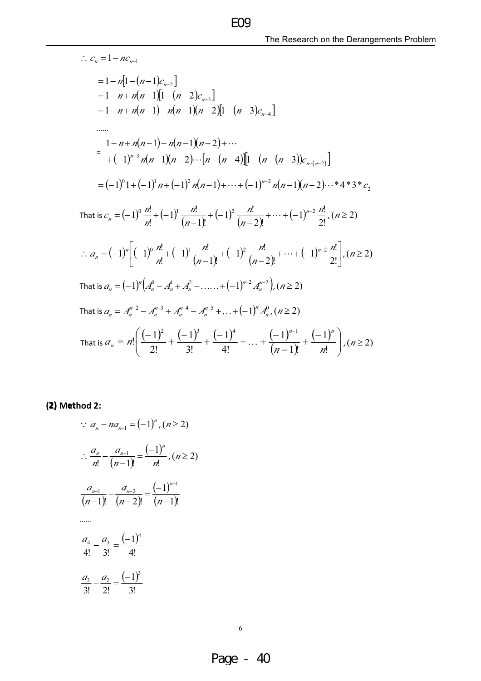$\therefore c_n = 1 - nc_{n-1}$  $= 1 - n[1-(n-1)c_{n-2}]$  $= 1 - n + n(n-1)[1-(n-2)c_{n-3}]$  $= 1 - n + n(n-1) - n(n-1)(n-2)[1-(n-3)c_{n-4}]$  $\cdots$  $=\frac{1-n+n(n-1)-n(n-1)(n-2)+\cdots}{+(-1)^{n-3}n(n-1)(n-2)\cdots[n-(n-4)][1-(n-(n-3))c_{n-(n-2)}]}$  $=(-1)^{0}1+(-1)^{1}n+(-1)^{2}n(n-1)+\cdots+(-1)^{n-2}n(n-1)(n-2)\cdots*4*3*c,$ That is  $c_n = (-1)^0 \frac{n!}{n!} + (-1)^1 \frac{n!}{(n-1)!} + (-1)^2 \frac{n!}{(n-2)!} + \cdots + (-1)^{n-2} \frac{n!}{2!}$ ,  $(n \ge 2)$  $\therefore a_n = (-1)^n \left[ (-1)^0 \frac{n!}{n!} + (-1)^1 \frac{n!}{(n-1)!} + (-1)^2 \frac{n!}{(n-2)!} + \cdots + (-1)^{n-2} \frac{n!}{2!} \right], (n \ge 2)$ That is  $a_n = (-1)^n (A_n^0 - A_n^1 + A_n^2 - \dots + (-1)^{n-2} A_n^{n-2}), (n \ge 2)$ That is  $a_n = A_n^{n-2} - A_n^{n-3} + A_n^{n-4} - A_n^{n-5} + ... + (-1)^n A_n^0$ ,  $(n \ge 2)$ That is  $a_n = n! \left( \frac{(-1)^2}{2!} + \frac{(-1)^3}{3!} + \frac{(-1)^4}{4!} + \dots + \frac{(-1)^{n-1}}{(n-1)!} + \frac{(-1)^n}{n!} \right)$ ,  $(n \ge 2)$ 

 $FQQ$ 

(2) Method 2:

$$
a_{n} - na_{n-1} = (-1)^{n}, (n \ge 2)
$$
  
\n
$$
\therefore \frac{a_{n}}{n!} - \frac{a_{n-1}}{(n-1)!} = \frac{(-1)^{n}}{n!}, (n \ge 2)
$$
  
\n
$$
\frac{a_{n-1}}{(n-1)!} - \frac{a_{n-2}}{(n-2)!} = \frac{(-1)^{n-1}}{(n-1)!}
$$
  
\n...  
\n
$$
\frac{a_{4}}{4!} - \frac{a_{3}}{3!} = \frac{(-1)^{4}}{4!}
$$
  
\n
$$
\frac{a_{3}}{3!} - \frac{a_{2}}{2!} = \frac{(-1)^{3}}{3!}
$$

 $\sim$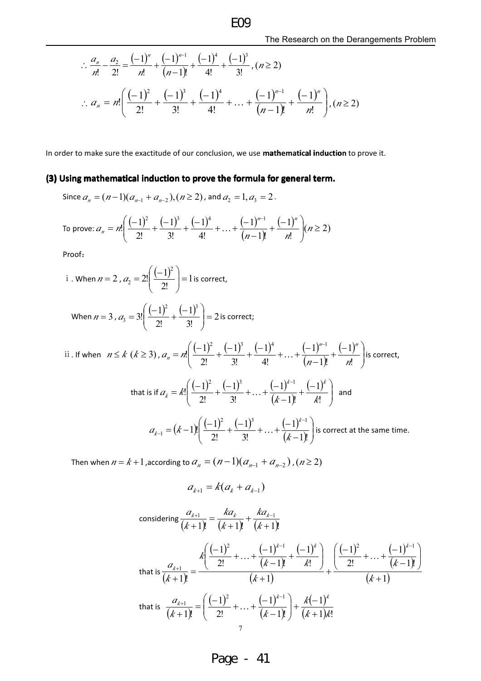$$
\therefore \frac{a_n}{n!} - \frac{a_2}{2!} = \frac{(-1)^n}{n!} + \frac{(-1)^{n-1}}{(n-1)!} + \frac{(-1)^4}{4!} + \frac{(-1)^3}{3!}, (n \ge 2)
$$
  

$$
\therefore a_n = n! \left( \frac{(-1)^2}{2!} + \frac{(-1)^3}{3!} + \frac{(-1)^4}{4!} + \dots + \frac{(-1)^{n-1}}{(n-1)!} + \frac{(-1)^n}{n!} \right), (n \ge 2)
$$

In order to make sure the exactitude of our conclusion, we use mathematical induction to prove it.

#### (3) Using mathematical induction to prove the formula for general term.

Since 
$$
a_n = (n-1)(a_{n-1} + a_{n-2}), (n \ge 2)
$$
, and  $a_2 = 1, a_3 = 2$ .

To prove: 
$$
a_n = n! \left( \frac{(-1)^2}{2!} + \frac{(-1)^3}{3!} + \frac{(-1)^4}{4!} + \dots + \frac{(-1)^{n-1}}{(n-1)!} + \frac{(-1)^n}{n!} \right) (n \ge 2)
$$

Proof:

i. When 
$$
n = 2
$$
,  $a_2 = 2! \left( \frac{(-1)^2}{2!} \right) = 1$  is correct,

When 
$$
n = 3
$$
,  $a_3 = 3! \left( \frac{(-1)^2}{2!} + \frac{(-1)^3}{3!} \right) = 2$  is correct;

ii. If when 
$$
n \le k \ (k \ge 3)
$$
,  $a_n = n! \left( \frac{(-1)^2}{2!} + \frac{(-1)^3}{3!} + \frac{(-1)^4}{4!} + \dots + \frac{(-1)^{n-1}}{(n-1)!} + \frac{(-1)^n}{n!} \right)$  is correct,

that is if 
$$
a_k = k! \left( \frac{(-1)^2}{2!} + \frac{(-1)^3}{3!} + \dots + \frac{(-1)^{k-1}}{(k-1)!} + \frac{(-1)^k}{k!} \right)
$$
 and  

$$
a_{k-1} = (k-1)! \left( \frac{(-1)^2}{2!} + \frac{(-1)^3}{3!} + \dots + \frac{(-1)^{k-1}}{(k-1)!} \right)
$$
 is correct at the same time.

Then when  $n = k + 1$ , according to  $a_n = (n - 1)(a_{n-1} + a_{n-2})$ ,  $(n \ge 2)$ 

$$
a_{k+1} = k(a_k + a_{k-1})
$$

considering 
$$
\frac{a_{k+1}}{(k+1)!} = \frac{k a_k}{(k+1)!} + \frac{k a_{k-1}}{(k+1)!}
$$
  
\nthat is  $\frac{a_{k+1}}{(k+1)!} = \frac{k \left(\frac{(-1)^2}{2!} + \dots + \frac{(-1)^{k-1}}{(k-1)!} + \frac{(-1)^k}{k!}\right)}{(k+1)!} + \frac{\left(\frac{(-1)^2}{2!} + \dots + \frac{(-1)^{k-1}}{(k-1)!}\right)}{(k+1)!}$   
\nthat is  $\frac{a_{k+1}}{(k+1)!} = \left(\frac{(-1)^2}{2!} + \dots + \frac{(-1)^{k-1}}{(k-1)!}\right) + \frac{k(-1)^k}{(k+1)k!}$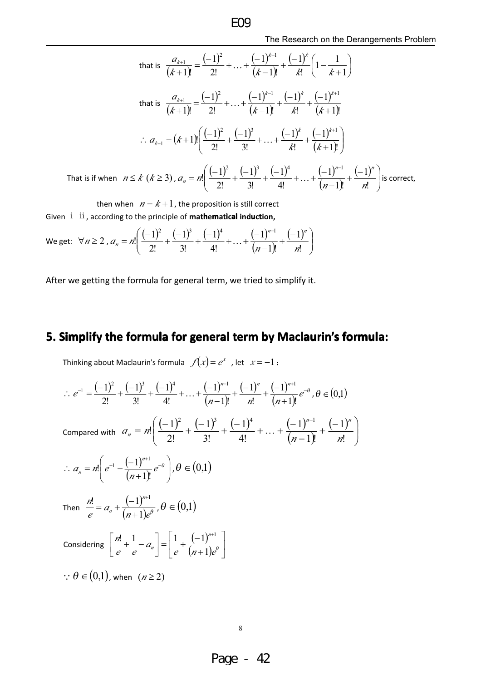that is 
$$
\frac{a_{k+1}}{(k+1)!} = \frac{(-1)^2}{2!} + ... + \frac{(-1)^{k-1}}{(k-1)!} + \frac{(-1)^k}{k!} \left(1 - \frac{1}{k+1}\right)
$$
  
that is 
$$
\frac{a_{k+1}}{(k+1)!} = \frac{(-1)^2}{2!} + ... + \frac{(-1)^{k-1}}{(k-1)!} + \frac{(-1)^k}{k!} + \frac{(-1)^{k+1}}{(k+1)!}
$$
  

$$
\therefore a_{k+1} = (k+1)! \left(\frac{(-1)^2}{2!} + \frac{(-1)^3}{3!} + ... + \frac{(-1)^k}{k!} + \frac{(-1)^{k+1}}{(k+1)!}\right)
$$
  
That is if when  $n \le k$  ( $k \ge 3$ ),  $a_n = n! \left(\frac{(-1)^2}{2!} + \frac{(-1)^3}{3!} + \frac{(-1)^4}{4!} + ... + \frac{(-1)^{n-1}}{(n-1)!} + \frac{(-1)^n}{n!}\right)$  is correct,

then when  $n = k + 1$ , the proposition is still correct Given i ii, according to the principle of mathematical induction,

We get: 
$$
\forall n \ge 2
$$
,  $a_n = n! \left( \frac{(-1)^2}{2!} + \frac{(-1)^3}{3!} + \frac{(-1)^4}{4!} + \dots + \frac{(-1)^{n-1}}{(n-1)!} + \frac{(-1)^n}{n!} \right)$ 

After we getting the formula for general term, we tried to simplify it.

# 5. Simplify the formula for general term by Maclaurin's formula:

Thinking about Maclaurin's formula  $f(x) = e^x$ , let  $x = -1$ :

 $\mathcal{L}$  $\sim$  100

$$
\therefore e^{-1} = \frac{(-1)^2}{2!} + \frac{(-1)^3}{3!} + \frac{(-1)^4}{4!} + \dots + \frac{(-1)^{n-1}}{(n-1)!} + \frac{(-1)^n}{n!} + \frac{(-1)^{n+1}}{(n+1)!}e^{-\theta}, \theta \in (0,1)
$$
\nCompared with  $a_n = n! \left( \frac{(-1)^2}{2!} + \frac{(-1)^3}{3!} + \frac{(-1)^4}{4!} + \dots + \frac{(-1)^{n-1}}{(n-1)!} + \frac{(-1)^n}{n!} \right)$ \n
$$
\therefore a_n = n! \left( e^{-1} - \frac{(-1)^{n+1}}{(n+1)!}e^{-\theta} \right), \theta \in (0,1)
$$
\nThen  $\frac{n!}{e} = a_n + \frac{(-1)^{n+1}}{(n+1)e^{\theta}}, \theta \in (0,1)$ \nConsidering  $\left[ \frac{n!}{e} + \frac{1}{e} - a_n \right] = \left[ \frac{1}{e} + \frac{(-1)^{n+1}}{(n+1)e^{\theta}} \right]$ \n
$$
\therefore \theta \in (0,1), \text{ when } (n \ge 2)
$$

 $\,8\,$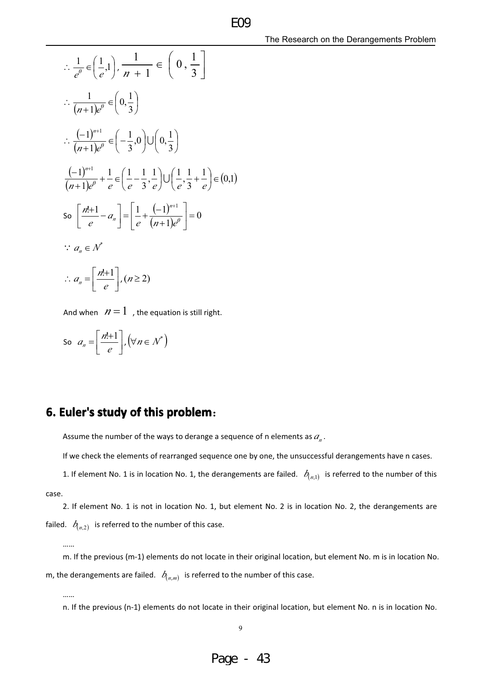$$
\therefore \frac{1}{e^{\theta}} \in \left(\frac{1}{e}, 1\right), \frac{1}{n+1} \in \left(0, \frac{1}{3}\right]
$$
\n
$$
\therefore \frac{1}{(n+1)e^{\theta}} \in \left(0, \frac{1}{3}\right)
$$
\n
$$
\therefore \frac{(-1)^{n+1}}{(n+1)e^{\theta}} \in \left(-\frac{1}{3}, 0\right) \cup \left(0, \frac{1}{3}\right)
$$
\n
$$
\frac{(-1)^{n+1}}{(n+1)e^{\theta}} + \frac{1}{e} \in \left(\frac{1}{e} - \frac{1}{3}, \frac{1}{e}\right) \cup \left(\frac{1}{e}, \frac{1}{3} + \frac{1}{e}\right) \in (0, 1)
$$
\n
$$
\text{So } \left[\frac{n!+1}{e} - a_n\right] = \left[\frac{1}{e} + \frac{(-1)^{n+1}}{(n+1)e^{\theta}}\right] = 0
$$
\n
$$
\therefore a_n \in \mathcal{N}^*
$$
\n
$$
\therefore a_n = \left[\frac{n!+1}{e}\right], (n \ge 2)
$$

And when  $n=1$ , the equation is still right.

So 
$$
a_n = \left[\frac{n!+1}{e}\right], (\forall n \in \mathcal{N}^*)
$$

### 6. Euler's study of this problem:

Assume the number of the ways to derange a sequence of n elements as  $a_n$ .

If we check the elements of rearranged sequence one by one, the unsuccessful derangements have n cases.

**FOG** 

1. If element No. 1 is in location No. 1, the derangements are failed.  $b_{(n,1)}$  is referred to the number of this

```
case.
```
2. If element No. 1 is not in location No. 1, but element No. 2 is in location No. 2, the derangements are failed.  $b_{(n,2)}$  is referred to the number of this case.

m. If the previous (m-1) elements do not locate in their original location, but element No. m is in location No. m, the derangements are failed.  $b_{(n,m)}$  is referred to the number of this case.

......

n. If the previous (n-1) elements do not locate in their original location, but element No. n is in location No.

<sup>......</sup>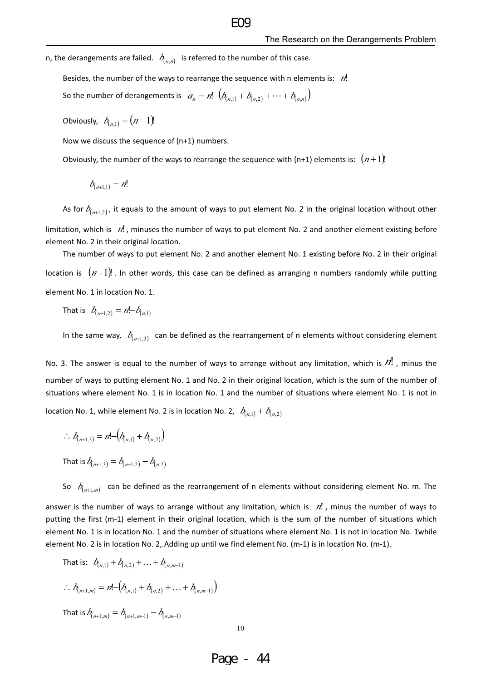n, the derangements are failed.  $b_{(n,n)}$  is referred to the number of this case.

Besides, the number of the ways to rearrange the sequence with n elements is:  $n!$ 

So the number of derangements is  $a_n = n! - (b_{(n,1)} + b_{(n,2)} + \cdots + b_{(n,n)})$ 

Obviously,  $b_{n+1} = (n-1)!$ 

Now we discuss the sequence of (n+1) numbers.

Obviously, the number of the ways to rearrange the sequence with (n+1) elements is:  $(n+1)!$ 

$$
b_{(n+1,1)}=n!
$$

element No. 2 in their original location.

As for  $b_{(n+1,2)}$ , it equals to the amount of ways to put element No. 2 in the original location without other limitation, which is  $n!$ , minuses the number of ways to put element No. 2 and another element existing before

 $FQ$ 

The number of ways to put element No. 2 and another element No. 1 existing before No. 2 in their original location is  $(n-1)!$ . In other words, this case can be defined as arranging n numbers randomly while putting element No. 1 in location No. 1.

That is  $b_{n+1,2} = n! - b_{n,1}$ 

In the same way,  $b_{(n+1,3)}$  can be defined as the rearrangement of n elements without considering element

No. 3. The answer is equal to the number of ways to arrange without any limitation, which is  $N!$ , minus the number of ways to putting element No. 1 and No. 2 in their original location, which is the sum of the number of situations where element No. 1 is in location No. 1 and the number of situations where element No. 1 is not in location No. 1, while element No. 2 is in location No. 2,  $b_{n}$ ,  $b_{n}$ ,  $b_{n}$ ,  $b_{n}$ 

$$
\therefore b_{(n+1,3)} = n! - (b_{(n,1)} + b_{(n,2)})
$$

That is  $b_{(n+1,3)} = b_{(n+1,2)} - b_{(n,2)}$ 

So  $b_{(n+1,m)}$  can be defined as the rearrangement of n elements without considering element No. m. The

answer is the number of ways to arrange without any limitation, which is  $n!$ , minus the number of ways to putting the first (m-1) element in their original location, which is the sum of the number of situations which element No. 1 is in location No. 1 and the number of situations where element No. 1 is not in location No. 1while element No. 2 is in location No. 2, Adding up until we find element No. (m-1) is in location No. (m-1).

That is: 
$$
b_{(n,1)} + b_{(n,2)} + ... + b_{(n,m-1)}
$$
  
\n
$$
\therefore b_{(n+1,m)} = n! - (b_{(n,1)} + b_{(n,2)} + ... + b_{(n,m-1)})
$$
\nThat is  $b_{(n+1,m)} = b_{(n+1,m-1)} - b_{(n,m-1)}$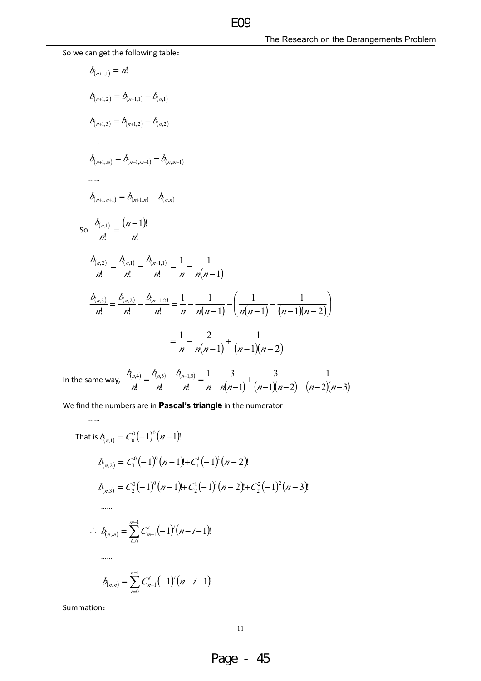So we can get the following table:

$$
b_{(n+1,1)} = n!
$$
\n
$$
b_{(n+1,2)} = b_{(n+1,1)} - b_{(n,1)}
$$
\n
$$
b_{(n+1,3)} = b_{(n+1,2)} - b_{(n,2)}
$$
\n
$$
...
$$
\n
$$
b_{(n+1,m)} = b_{(n+1,m-1)} - b_{(n,m-1)}
$$
\n
$$
...
$$
\n
$$
b_{(n+1,m+1)} = b_{(n+1,n)} - b_{(n,n)}
$$
\n
$$
S = \frac{b_{(n,1)}}{n!} = \frac{(n-1)!}{n!}
$$
\n
$$
\frac{b_{(n,2)}}{n!} = \frac{b_{(n,1)}}{n!} - \frac{b_{(n-1,1)}}{n!} = \frac{1}{n} - \frac{1}{n(n-1)}
$$
\n
$$
\frac{b_{(n,3)}}{n!} = \frac{b_{(n,2)}}{n!} - \frac{b_{(n-1,2)}}{n!} = \frac{1}{n} - \frac{1}{n(n-1)} - \left(\frac{1}{n(n-1)} - \frac{1}{(n-1)(n-2)}\right)
$$
\n
$$
= \frac{1}{n} - \frac{2}{n(n-1)} + \frac{1}{(n-1)(n-2)}
$$

EO<sub>9</sub>

In the same way,  $\frac{b_{(n,4)}}{n!} = \frac{b_{(n,3)}}{n!} - \frac{b_{(n-1,3)}}{n!} = \frac{1}{n} - \frac{3}{n(n-1)} + \frac{3}{(n-1)(n-2)} - \frac{1}{(n-2)(n-3)}$ 

We find the numbers are in Pascal's triangle in the numerator

That is 
$$
\delta_{(n,1)} = C_0^0(-1)^0(n-1)!
$$
  
\n
$$
b_{(n,2)} = C_1^0(-1)^0(n-1)! + C_1^1(-1)^1(n-2)!
$$
\n
$$
b_{(n,3)} = C_2^0(-1)^0(n-1)! + C_2^1(-1)^1(n-2)! + C_2^2(-1)^2(n-3)!
$$
\n
$$
\dots
$$
\n
$$
\vdots
$$
\n
$$
b_{(n,m)} = \sum_{i=0}^{m-1} C_{m-1}^i(-1)^i(n-i-1)!
$$
\n
$$
\dots
$$
\n
$$
b_{(n,n)} = \sum_{i=0}^{n-1} C_{n-1}^i(-1)^i(n-i-1)!
$$

Summation:

 $\cdots$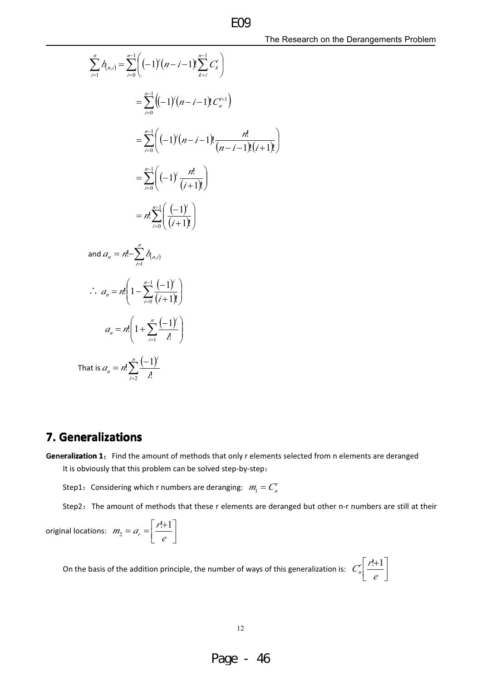$$
\sum_{i=1}^{n} b_{(n,i)} = \sum_{i=0}^{n-1} \left( (-1)^{i} (n-i-1) \sum_{k=i}^{n-1} C_{k}^{i} \right)
$$
  
\n
$$
= \sum_{i=0}^{n-1} \left( (-1)^{i} (n-i-1) \sum_{k=i}^{n+1} C_{k}^{i} \right)
$$
  
\n
$$
= \sum_{i=0}^{n-1} \left( (-1)^{i} (n-i-1) \sum_{k=i}^{n} \frac{n!}{(n-i-1)!(i+1)!} \right)
$$
  
\n
$$
= \sum_{i=0}^{n-1} \left( (-1)^{i} \frac{n!}{(i+1)!} \right)
$$
  
\n
$$
= n! \sum_{i=0}^{n-1} \left( \frac{(-1)^{i}}{(i+1)!} \right)
$$
  
\nand  $a_{n} = n! \sum_{i=1}^{n} b_{(n,i)}$   
\n $\therefore a_{n} = n! \left( 1 - \sum_{i=1}^{n-1} \frac{(-1)^{i}}{i!} \right)$   
\n $a_{n} = n! \left( 1 + \sum_{i=1}^{n} \frac{(-1)^{i}}{i!} \right)$   
\nThat is  $a_{n} = n! \sum_{i=2}^{n} \frac{(-1)^{i}}{i!}$ 

### **7. Generalizations**

Generalization 1: Find the amount of methods that only r elements selected from n elements are deranged It is obviously that this problem can be solved step-by-step:

Step1: Considering which r numbers are deranging:  $m_1 = C_n^r$ 

Step2: The amount of methods that these r elements are deranged but other n-r numbers are still at their

original locations: 
$$
m_2 = a_r = \left[ \frac{r!+1}{e} \right]
$$

On the basis of the addition principle, the number of ways of this generalization is:  $C_n^r\left[\frac{r!+1}{e}\right]$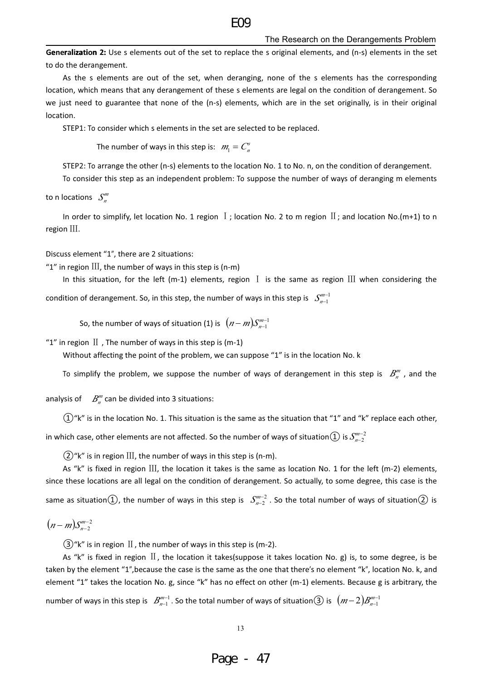#### $FQ$

#### The Research on the Derangements Problem

Generalization 2: Use s elements out of the set to replace the s original elements, and (n-s) elements in the set to do the derangement.

As the s elements are out of the set, when deranging, none of the s elements has the corresponding location, which means that any derangement of these s elements are legal on the condition of derangement. So we just need to guarantee that none of the (n-s) elements, which are in the set originally, is in their original location.

STEP1: To consider which s elements in the set are selected to be replaced.

The number of ways in this step is:  $m_1 = C_n^s$ 

STEP2: To arrange the other (n-s) elements to the location No. 1 to No. n, on the condition of derangement.

To consider this step as an independent problem: To suppose the number of ways of deranging m elements

to n locations  $S_n^m$ 

In order to simplify, let location No. 1 region  $\bar{I}$ ; location No. 2 to m region  $\bar{II}$ ; and location No.(m+1) to n  $region$   $III.$ 

Discuss element "1", there are 2 situations:

"1" in region  $III$ , the number of ways in this step is (n-m)

In this situation, for the left (m-1) elements, region  $I$  is the same as region  $III$  when considering the condition of derangement. So, in this step, the number of ways in this step is  $S_{n=1}^{m-1}$ 

So, the number of ways of situation (1) is  $(n-m)S_{n-1}^{m-1}$ 

"1" in region  $\text{II}$ , The number of ways in this step is (m-1)

Without affecting the point of the problem, we can suppose "1" is in the location No. k

To simplify the problem, we suppose the number of ways of derangement in this step is  $B_n^{\prime\prime\prime}$ , and the

analysis of  $B_n^m$  can be divided into 3 situations:

 $(1)$ "k" is in the location No. 1. This situation is the same as the situation that "1" and "k" replace each other,

in which case, other elements are not affected. So the number of ways of situation  $\textcircled{1}$  is  $\mathcal{S}_{n-2}^{m-2}$ 

 $(2)$ "k" is in region III, the number of ways in this step is (n-m).

As "k" is fixed in region III, the location it takes is the same as location No. 1 for the left (m-2) elements, since these locations are all legal on the condition of derangement. So actually, to some degree, this case is the same as situation(1), the number of ways in this step is  $S_{n-2}^{m-2}$ . So the total number of ways of situation(2) is

 $(n-m)S_{n-2}^{m-2}$ 

 $(3)$ "k" is in region II, the number of ways in this step is (m-2).

As "k" is fixed in region  $II$ , the location it takes(suppose it takes location No. g) is, to some degree, is be taken by the element "1", because the case is the same as the one that there's no element "k", location No. k, and element "1" takes the location No. g, since "k" has no effect on other (m-1) elements. Because g is arbitrary, the

number of ways in this step is  $B^{m-1}_{n-1}$ . So the total number of ways of situation  $(3)$  is  $(m-2)B^{m-1}_{n-1}$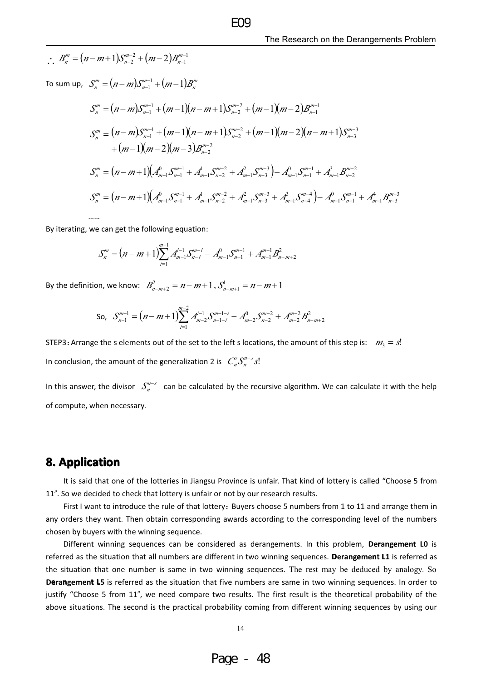$\therefore$   $B_n^m = (n-m+1)S_{n-2}^{m-2} + (m-2)B_{n-1}^{m-1}$ To sum up,  $S_n^m = (n-m)S_{n-1}^{m-1} + (m-1)B_n^m$  $S_{n}^{m} = (n-m)S_{n-1}^{m-1} + (m-1)(n-m+1)S_{n-2}^{m-2} + (m-1)(m-2)B_{n-1}^{m-1}$  $S_{n}^{m} = (n-m)S_{n-1}^{m-1} + (m-1)(n-m+1)S_{n-2}^{m-2} + (m-1)(m-2)(n-m+1)S_{n-3}^{m-3}$  $+(m-1)(m-2)(m-3)B^{m-2}$  $S_{n}^{m} = (n-m+1)(A_{m-1}^{0}S_{n-1}^{m-1} + A_{m-1}^{1}S_{n-2}^{m-2} + A_{m-1}^{2}S_{n-3}^{m-3}) - A_{m-1}^{0}S_{n-1}^{m-1} + A_{m-1}^{3}B_{n-2}^{m-2}$  $S_{n}^{m} = (n-m+1)(A_{m-1}^{0}S_{n-1}^{m-1} + A_{m-1}^{1}S_{n-2}^{m-2} + A_{m-1}^{2}S_{n-3}^{m-3} + A_{m-1}^{3}S_{n-4}^{m-4}) - A_{m-1}^{0}S_{n-1}^{m-1} + A_{m-1}^{4}B_{n-3}^{m-3}$ 

By iterating, we can get the following equation:

$$
S_n^m = (n-m+1)\sum_{i=1}^{m-1} A_{m-1}^{i-1} S_{n-i}^{m-i} - A_{m-1}^0 S_{n-1}^{m-1} + A_{m-1}^{m-1} B_{n-m+2}^2
$$

By the definition, we know:  $B_{n-m+2}^2 = n - m + 1$ ,  $S_{n-m+1}^1 = n - m + 1$ 

So, 
$$
S_{n-1}^{m-1} = (n-m+1)\sum_{i=1}^{m-2} A_{m-2}^{i-1} S_{n-1-i}^{m-1-i} - A_{m-2}^0 S_{n-2}^{m-2} + A_{m-2}^{m-2} B_{n-m+2}^2
$$

STEP3: Arrange the s elements out of the set to the left s locations, the amount of this step is:  $m_3 = s!$ In conclusion, the amount of the generalization 2 is  $C_n^s S_n^{m-s} s!$ 

In this answer, the divisor  $S_n^{n-s}$  can be calculated by the recursive algorithm. We can calculate it with the help of compute, when necessary.

#### **8. Application**

It is said that one of the lotteries in Jiangsu Province is unfair. That kind of lottery is called "Choose 5 from 11". So we decided to check that lottery is unfair or not by our research results.

First I want to introduce the rule of that lottery: Buyers choose 5 numbers from 1 to 11 and arrange them in any orders they want. Then obtain corresponding awards according to the corresponding level of the numbers chosen by buyers with the winning sequence.

Different winning sequences can be considered as derangements. In this problem, Derangement LO is referred as the situation that all numbers are different in two winning sequences. Derangement L1 is referred as the situation that one number is same in two winning sequences. The rest may be deduced by analogy. So Derangement L5 is referred as the situation that five numbers are same in two winning sequences. In order to justify "Choose 5 from 11", we need compare two results. The first result is the theoretical probability of the above situations. The second is the practical probability coming from different winning sequences by using our

14

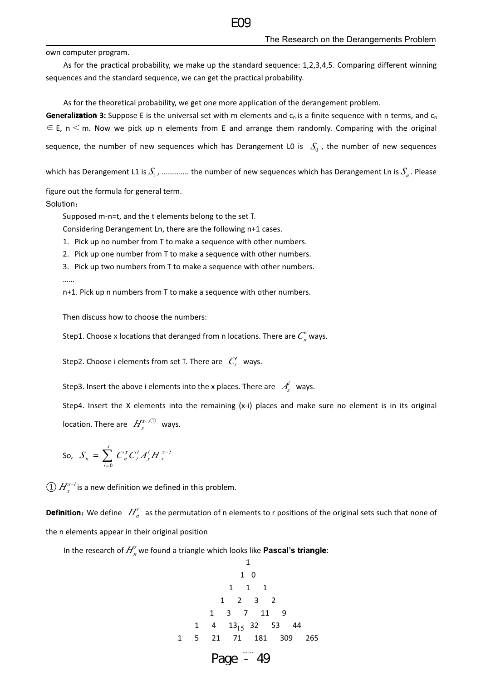own computer program.

As for the practical probability, we make up the standard sequence: 1,2,3,4,5. Comparing different winning sequences and the standard sequence, we can get the practical probability.

As for the theoretical probability, we get one more application of the derangement problem.

**Generalization 3:** Suppose E is the universal set with m elements and  $c_n$  is a finite sequence with n terms, and  $c_n$  $\epsilon \in E$ , n  $\leq$  m. Now we pick up n elements from E and arrange them randomly. Comparing with the original sequence, the number of new sequences which has Derangement LO is  $S_0$ , the number of new sequences

which has Derangement L1 is  $S_1$ , .............. the number of new sequences which has Derangement Ln is  $S_n$ . Please

figure out the formula for general term.

Solution:

Supposed m-n=t, and the t elements belong to the set T.

Considering Derangement Ln, there are the following n+1 cases.

- 1. Pick up no number from T to make a sequence with other numbers.
- 2. Pick up one number from T to make a sequence with other numbers.
- 3. Pick up two numbers from T to make a sequence with other numbers.  $\cdots$

n+1. Pick up n numbers from T to make a sequence with other numbers.

Then discuss how to choose the numbers:

Step1. Choose x locations that deranged from n locations. There are  $C_n^x$  ways.

Step2. Choose i elements from set T. There are  $C_t^i$  ways.

Step3. Insert the above i elements into the x places. There are  $A_r^i$  ways.

Step4. Insert the X elements into the remaining  $(x-i)$  places and make sure no element is in its original location. There are  $H_r^{x-i(1)}$  ways.

So, 
$$
S_x = \sum_{i=0}^{x} C_n^x C_i^i A_x^i H_x^{x-i}
$$

 $\Omega(H^{x-i}_{r})$  is a new definition we defined in this problem.

**Definition:** We define  $H_n^r$  as the permutation of n elements to r positions of the original sets such that none of the n elements appear in their original position

In the research of  $H_n^r$  we found a triangle which looks like **Pascal's triangle**:

$$
\begin{array}{cccc}\n & & 1 & & & \\
 & & 1 & 0 & & & \\
 & & 1 & 1 & 1 & & \\
 & & 1 & 2 & 3 & 2 & \\
 & & 1 & 3 & 7 & 11 & 9 & \\
 & 1 & 4 & 13_{15} & 32 & 53 & 44 & \\
 & 1 & 5 & 21 & 71 & 181 & 309 & 265 \\
 & & & \text{Page} & -49 & & & \\
\end{array}
$$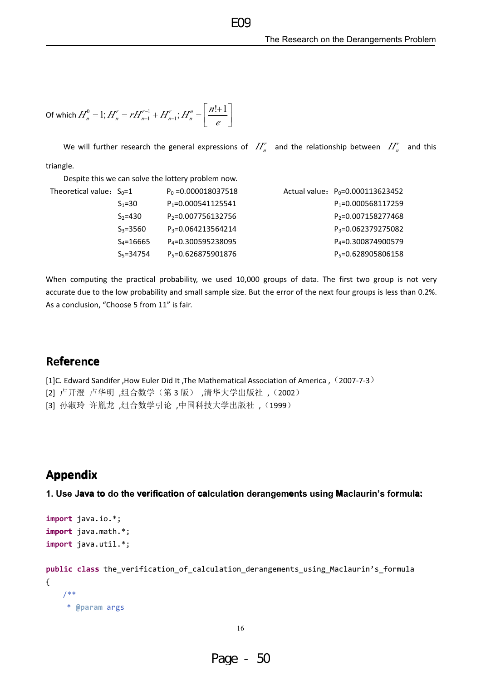Of which 
$$
H_n^0 = 1
$$
;  $H_n^r = rH_{n-1}^{r-1} + H_{n-1}^r$ ;  $H_n^{\prime\prime} = \left[\frac{n!+1}{e}\right]$ 

We will further research the general expressions of  $H_n^r$  and the relationship between  $H_n^r$  and this triangle.

 $FQQ$ 

Despite this we can solve the lottery problem now.

| Theoretical value: $S_0=1$ |               | $P_0 = 0.000018037518$         | Actual value: $P_0 = 0.000113623452$ |
|----------------------------|---------------|--------------------------------|--------------------------------------|
|                            | $S_1 = 30$    | $P_1 = 0.000541125541$         | $P_1 = 0.000568117259$               |
|                            | $S_2 = 430$   | P <sub>2</sub> =0.007756132756 | $P_2 = 0.007158277468$               |
|                            | $S_3 = 3560$  | P <sub>3</sub> =0.064213564214 | P <sub>3</sub> =0.062379275082       |
|                            | $S_4 = 16665$ | P <sub>4</sub> =0.300595238095 | P <sub>4</sub> =0.300874900579       |
|                            | $S_5 = 34754$ | P <sub>5</sub> =0.626875901876 | P <sub>5</sub> =0.628905806158       |

When computing the practical probability, we used 10,000 groups of data. The first two group is not very accurate due to the low probability and small sample size. But the error of the next four groups is less than 0.2%. As a conclusion, "Choose 5 from 11" is fair.

### **Reference**

[1] C. Edward Sandifer , How Euler Did It , The Mathematical Association of America, (2007-7-3) [2] 卢开澄 卢华明,组合数学(第3版),清华大学出版社,(2002) [3] 孙淑玲 许胤龙,组合数学引论,中国科技大学出版社,(1999)

### **Appendix**

1. Use Java to do the verification of calculation derangements using Maclaurin's formula:

```
import java.io.*;
import java.math.*;
import java.util.*;
```

```
public class the_verification_of_calculation_derangements_using_Maclaurin's_formula
\{7*** @param args
```
16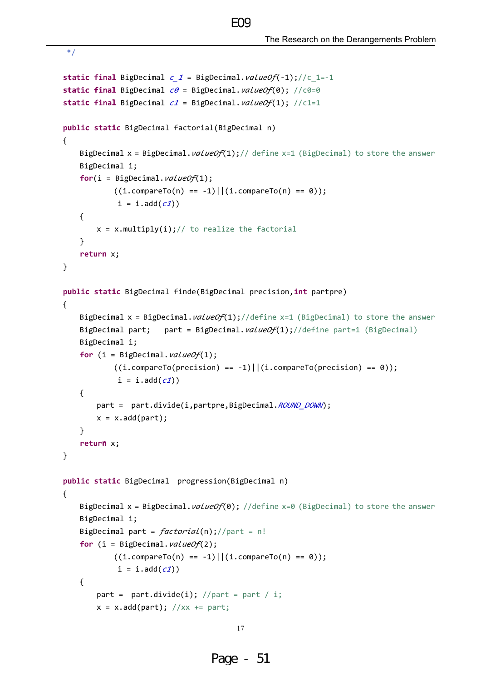```
static final BigDecimal c 1 = BigDecimal. valueOf(-1);//c 1=-1
static final BigDecimal c\theta = BigDecimal. valueOf(\theta); //c0=0
static final BigDecimal c1 = BigDecimal. valueOf(1); //c1=1
public static BigDecimal factorial(BigDecimal n)
\left\{ \right.BigDecimal x = BigDecimal. valueOf(1);// define x=1 (BigDecimal) to store the answer
    BigDecimal i;
    for(i = BigDecimal.valueOf(1);((i.\text{compareTo}(n) == -1) || (i.\text{compareTo}(n) == 0));i = i.add(c1))\{x = x.multiply(i); // to realize the factorial\mathcal{F}return x:
\mathcal{F}public static BigDecimal finde(BigDecimal precision, int partpre)
\{BigDecimal x = BigDecimal. valueOf(1);//define x=1 (BigDecimal) to store the answer
    BigDecimal part;
                        part = BigDecimal. valueOf(1);//define part=1 (BigDecimal)
    BigDecimal i;
    for (i = BigDecimal.valueOf(1);((i.\text{compareTo}(precision) == -1) || (i.\text{compareTo}(precision) == 0));i = i.add(c1))\left\{ \right.part = part.divide(i,partpre,BigDecimal.ROUND DOWN);
        x = x.add(part);ł
    return x;
\mathcal{E}public static BigDecimal progression(BigDecimal n)
\{BigDecimal x = BigDecimal. valueOf(0); //define x=0 (BigDecimal) to store the answer
    BigDecimal i;
    BigDecimal part = factorial(n); //part = n!
    for (i = BigDecimal.valueOf(2);((i.compareTo(n) == -1) || (i.compareTo(n) == 0));i = i.add(c1))\left\{ \right.part = part.divide(i); //part = part / i;x = x.add(part); //xx += part;
```
 $FQQ$ 

 $*$ 

```
17
```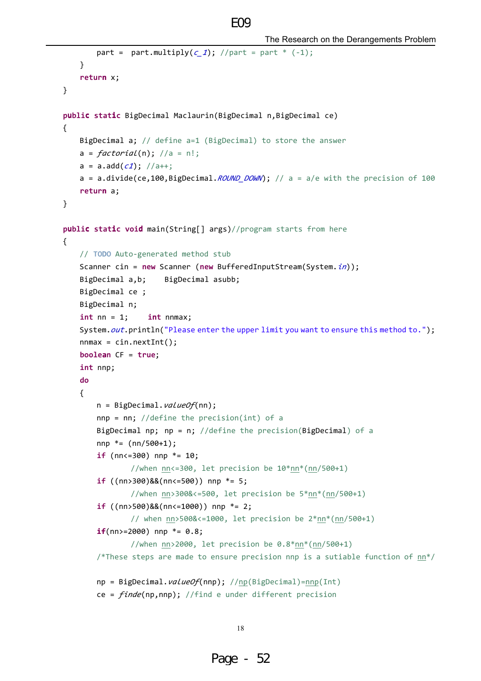```
The Research on the Derangements Problem
```

```
part = part.multiply(c_1); //part = part * (-1);
   \}return x;
\mathcal{F}public static BigDecimal Maclaurin(BigDecimal n, BigDecimal ce)
\{BigDecimal a; // define a=1 (BigDecimal) to store the answer
   a = factorial(n); //a = n!;
   a = a.add(c1); //a++;a = a.divide(ce, 100, BigDecimal. ROUND_DOWN); // a = a/e with the precision of 100
   return a:
\mathcal{F}public static void main(String[] args)//program starts from here
\{// TODO Auto-generated method stub
   Scanner cin = new Scanner (new BufferedInputStream(System.in));
                       BigDecimal asubb;
   BigDecimal a,b;
   BigDecimal ce ;
   BigDecimal n;
   int nn = 1;
                   int nnmax;
   System.out.println("Please enter the upper limit you want to ensure this method to.");
   nnmax = cin.nextInt();boolean CF = true;int nnp;
   do
    \{n = BigDecimal.valueOf(nn);
       nnp = nn; //define the precision(int) of a
       BigDecimal np; np = n; //define the precision(BigDecimal) of a
       nnp * = (nn/500+1);if (nn<=300) nnp *=10;//when nn<=300, let precision be 10*nn*(nn/500+1)
       if ((nn>300)&&(nn<=500)) nnp *=5;//when nn>300&<=500, let precision be 5*nn*(nn/500+1)
       if ((nn)500) & (nn<-1000)) nnp *=2;// when nn > 5008 < -1000, let precision be 2 * nn * (nn / 500 + 1)if(nn>=2000) nnp *= 0.8;//when nn>2000, let precision be 0.8*nn*(nn/500+1)
       /*These steps are made to ensure precision nnp is a sutiable function of nn*/
       np = BigDecimal. valueOf(nnp); //np(BigDecimal)=nnp(Int)
       ce = finde(np,nnp); //find e under different precision
```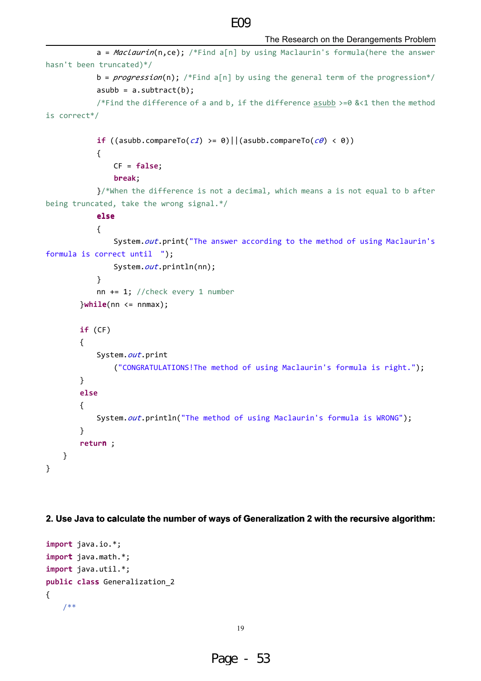#### $FQQ$

```
a = \text{MacLaurin}(n, ce); /*Find a[n] by using Maclaurin's formula(here the answer
hasn't been truncated)*/
            b = progenesion(n); /*Find a[n] by using the general term of the progression*/
            asubb = a.subtract(b);/*Find the difference of a and b, if the difference asubb >=0 &<1 then the method
is correct*/
            if ((asubb.compareTo(c1) >= 0)||(asubb.compareTo(c0) < 0))
            \{CF = false;break;
            \frac{1}{2} when the difference is not a decimal, which means a is not equal to b after
being truncated, take the wrong signal.*/
            else
            \left\{ \right.System.out.print("The answer according to the method of using Maclaurin's
formula is correct until ");
                 System.out.println(nn);
            \mathcal{E}nn += 1; //check every 1 number
        }while(nn <= nnmax);
        if (CF)\left\{ \right.System.out.print
                 ("CONGRATULATIONS! The method of using Maclaurin's formula is right.");
        \mathcal{E}else
        \{System.out.println("The method of using Maclaurin's formula is WRONG");
        ł
        return ;
    \mathcal{F}\mathcal{E}
```
#### 2. Use Java to calculate the number of ways of Generalization 2 with the recursive algorithm:

```
import java.io.*;
import java.math.*;
import java.util.*;
public class Generalization 2
\{7**
```
19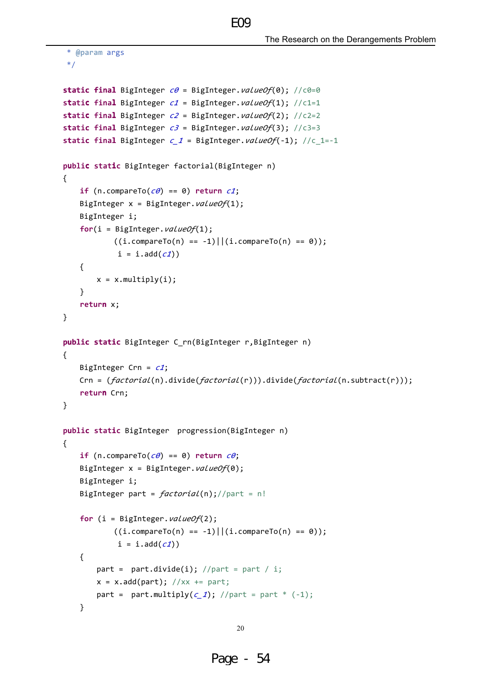The Research on the Derangements Problem

```
* @param args
*static final BigInteger c\theta = BigInteger. valueOf(\theta); //c0=0
static final BigInteger c1 = BigInteger. valueOf(1); //c1=1
static final BigInteger c2 = BigInteger. valueOf(2); //c2=2
static final BigInteger c3 = BigInteger. valueOf(3); //c3=3
static final BigInteger c 1 = BigInteger. valueOf(-1); //c 1=-1
public static BigInteger factorial(BigInteger n)
€
    if (n.\text{compareTo}(c\theta) == \theta) return c1;
    BigInteger x = BigInteger. valueOf(1);
    BigInteger i;
    for(i = BigInteger.valueOf(1);
            ((i.compilecap) == -1)||(i.compilecap) == 0));i = i.add(c1))\{x = x.multiply(i);\mathcal{F}return x;
\mathcal{E}public static BigInteger C rn(BigInteger r, BigInteger n)
\{BigInteger Crn = c1;
    Crn = (factorial(n).divide(factorial(r))) .divide(factorial(n.subtract(r)));
    return Crn;
\mathcal{F}public static BigInteger progression(BigInteger n)
\left\{ \right.if (n.compareTo(c\theta) == 0) return c\theta;
    BigInteger x = BigInteger. valueOf(0);
    BigInteger i;
    BigInteger part = factorial(n); //part = n!
    for (i = Bignteger.valueOf(2);((i.compareTo(n) == -1) || (i.compareTo(n) == 0));i = i.add(c1))\{part = part.divide(i); //part = part / i;
        x = x.add(part); //xx += part;part = part.multiply(c_1); //part = part * (-1);
    \mathcal{E}
```
 $FQQ$ 

```
20
```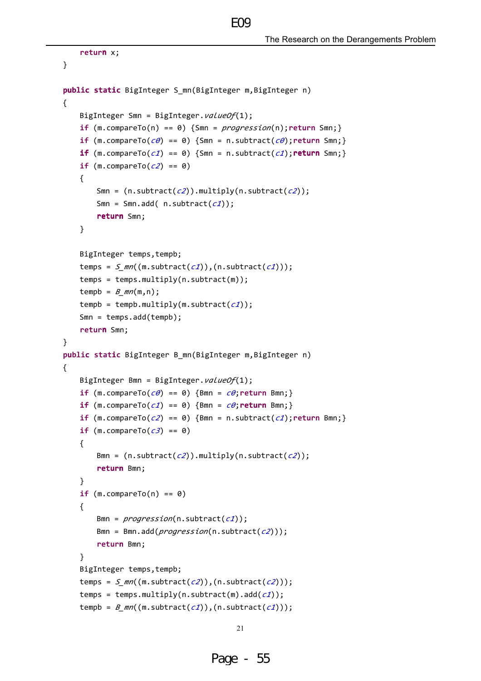```
return x;
\mathcal{F}public static BigInteger S_mn(BigInteger m, BigInteger n)
\{BigInteger Smn = BigInteger. valueOf(1);
    if (m.\text{compareTo}(n) == 0) {Smn = progression(n); return Smn; }
    if (m.\text{compareTo}(\mathcal{C}\theta) == \theta) {Smn = n.subtract(\mathcal{C}\theta); return Smn; }
    if (m.\text{compareTo}(c1) == 0) {Smn = n.subtract(c1); return Smn; }
    if (m.\text{compareTo}(c2) == 0)\{Smn = (n.subtract(c2)).multiply(n.subtract(c2));
        Smn = Smn.add( n.subtract(c1));
        return Smn;
    \}BigInteger temps.tempb:
    temps = S mn((m.subtract(c1)),(n.subtract(c1)));
    temps = temps.multiply(n.subtract(m));tempb = B_{mn}(m,n);
    tempb = tempb.multiply(m.subtract(c1));
    Smn = temps.add(temp);return Smn;
\mathcal{F}public static BigInteger B mn(BigInteger m, BigInteger n)
\{BigInteger Bmn = BigInteger.valueOf(1);
    if (m.\text{compareTo}(c\theta) == \theta) {Bmn = c\theta; return Bmn; }
    if (m.compareTo(c1) == 0) {Bmn = c0; return Bmn;}
    if (m.\text{compareTo}(c2) == 0) {Bmn = n.subtract(c1); return Bmn; }
    if (m.\text{compareTo}(\text{c3}) == 0)\left\{ \right.Bmn = (n.subtract(c2)).multiply(n.subtract(c2));
        return Bmn;
    \mathcal{E}if (m.\text{compareTo}(n) == 0)\{Bmn = program(s); p_{0}Bmn = Bmn.add(progression(n.subtract(c2)));
        return Bmn;
    \lambdaBigInteger temps, tempb;
    temps = S mn((m.subtract(c2)),(n.subtract(c2)));
    temps = temps.multiply(n.subtract(m).add(c1));
    tempb = B_{mn}((m.subtract(c1)),(n.subtract(c1)));
```
 $FQQ$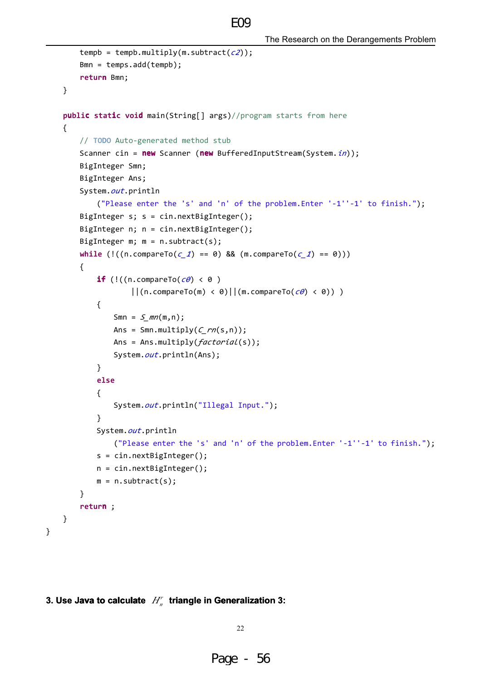```
tempb = tempb.multiply(m.subtract(c2));
    Bmn = temps.add(temp);return Bmn;
\mathcal{F}public static void main(String[] args)//program starts from here
\mathcal{L}// TODO Auto-generated method stub
    Scanner cin = new Scanner (new BufferedInputStream(System.in));
    BigInteger Smn;
    BigInteger Ans;
    System.out.println
        ("Please enter the 's' and 'n' of the problem. Enter '-1''-1' to finish.");
    BigInteger s; s = cin.nextBigInteger();
    BigInteger n; n = cin.nextBigInter(c);BigInteger m; m = n.subtract(s);
    while (!((n.compareTo(c 1) == 0) && (m.compareTo(c 1) == 0)))
    \{if (!((n.\text{compareTo}(c\theta) < \theta))||((n.\text{compareTo(m)} < \theta)||((m.\text{compareTo}(c\theta) < \theta))|\{Smn = S mn(m, n);
            Ans = Smn.multiply(C_rnn(s,n));Ans = Ans.multiply(factorial(s));
            System.out.println(Ans);
        \mathcal{F}else
        \{System.out.println("Illegal Input.");
        }
        System.out.println
            ("Please enter the 's' and 'n' of the problem. Enter '-1''-1' to finish.");
        s = cin.nextBigInter(c);n = cin.nextBigInter(c);m = n.subtract(s);\mathcal{F}return ;
\}
```
 $FQ$ 

#### 3. Use Java to calculate  $H_n^r$  triangle in Generalization 3:

 $\}$ 

22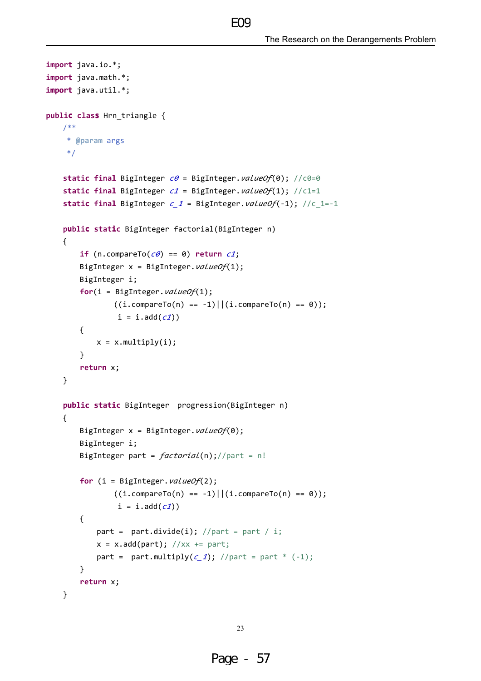```
import java.io.*;
import java.math.*;
import java.util.*;
public class Hrn_triangle {
    7*** @param args
     *static final BigInteger c\theta = BigInteger. valueOf(0); //c0=0
    static final BigInteger c1 = BigInteger. valueOf(1); //c1=1
    static final BigInteger c_1 = BigInteger. valueOf(-1); //c_1=-1
    public static BigInteger factorial(BigInteger n)
    \{if (n.\text{compareTo}(c\theta) == \theta) return c1;
        BigInteger x = BigInteger.valueOf(1);
        BigInteger i;
        for(i = BigInteger. valueOf(1);
                ((i.compilecap) == -1)||(i.compilecap) == 0));i = i.add(c1))\{x = x.multiply(i);\}return x;
    \mathcal{E}public static BigInteger progression(BigInteger n)
    \{BigInteger x = BigInteger.valueOf(0);
        BigInteger i;
        BigInteger part = factorial(n); //part = n!
        for (i = BigInteger. valueOf(2);
                ((i.compareTo(n) == -1) || (i.compareTo(n) == 0));i = i.add(c1))\left\{ \right.part = part.divide(i); //part = part / i;x = x.add(part); //xx += part;
            part = part.multiply(c_1); //part = part * (-1);
        \mathcal{E}return x;
    \mathcal{F}
```
 $FQQ$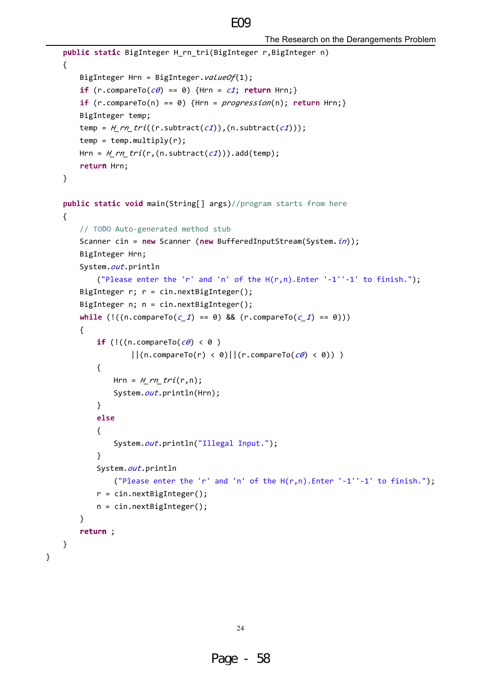```
public static BigInteger H_rn_tri(BigInteger r,BigInteger n)
€
    BigInteger Hrn = BigInteger.valueOf(1);
    if (r.compareTo(c\theta) == 0) {Hrn = c1; return Hrn;}
    if (r.\text{compareTo}(n) == 0) {Hrn = progression(n); return Hrn; }
    BigInteger temp;
    temp = H_rnr_1(tr.subtract(c1)), (n.subtract(c1)));
    temp = temp.multiply(r);Hrn = H_r^n_t(r,(n.subtract(c1))).add(temp);return Hrn;
\}public static void main(String[] args)//program starts from here
\{// TODO Auto-generated method stub
    Scanner cin = new Scanner (new BufferedInputStream(System.in));
    BigInteger Hrn;
    System.out.println
        ("Please enter the 'r' and 'n' of the H(r,n). Enter '-1''-1' to finish.");
    BigInteger r; r = cin.nextBigInteger();
    BigInteger n; n = cin.nextBigInteger();
    while (!(n \text{.compareTo}(c 1) == 0) 88 (r \text{.compareTo}(c 1) == 0))\{if (!(n \text{.compareTo}(c\theta) < \theta))||((n.\text{compareTo}(r) < 0)||((r.\text{compareTo}(c\theta) < 0))|\{Hrn = H rn tri(r,n);
            System.out.println(Hrn);
        \mathcal{F}else
        \left\{ \right.System.out.println("Illegal Input.");
        \mathcal{F}System.out.println
            ("Please enter the 'r' and 'n' of the H(r,n). Enter '-1''-1' to finish.");
        r = cin.nextBigInteger();n = cin.nextBigInteger();\mathcal{F}return;
\mathcal{F}
```
 $\mathcal{E}$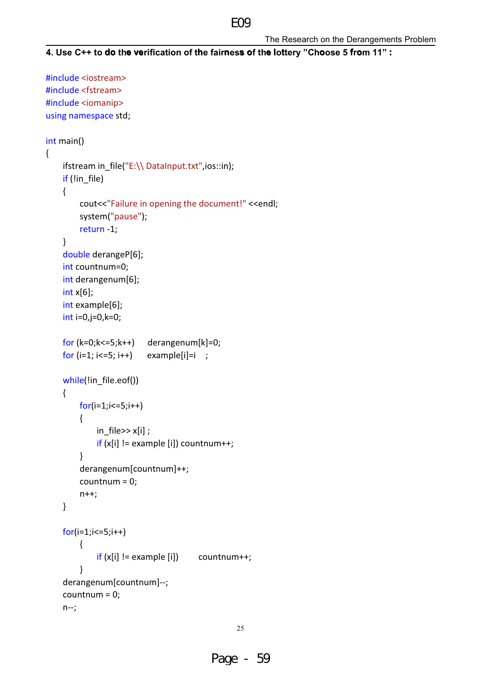```
4. Use C++ to do the verification of the fairness of the lottery "Choose 5 from 11" :
```

```
#include <iostream>
#include <fstream>
#include <iomanip>
using namespace std;
int main()
\{ifstream in_file("E:\\ DataInput.txt",ios::in);
    if (lin_file)\{cout<<"Failure in opening the document!" <<endl;
        system("pause");
        return -1;
    \}double derangeP[6];
    int countnum=0;
    int derangenum[6];
    int x[6];
    int example[6];
    int i=0,j=0,k=0;for (k=0; k<=5; k++) derangenum[k]=0;
    for (i=1; i<=5; i++)example[i]=i;
    while(!in_file.eof())
    \left\{ \right.for(i=1;i<=5;i++)\{in_file>>x[i];
             if (x[i] != example[i]) countnum++;
        \mathcal{E}derangenum[countnum]++;
        countnum = 0;
        n++;\mathcal{E}for(i=1;i<=5;i++)\{if(x[i] != example[i])countnum++;
        \mathcal{E}derangenum[countnum]--;
    countnum = 0;
    n - j
```